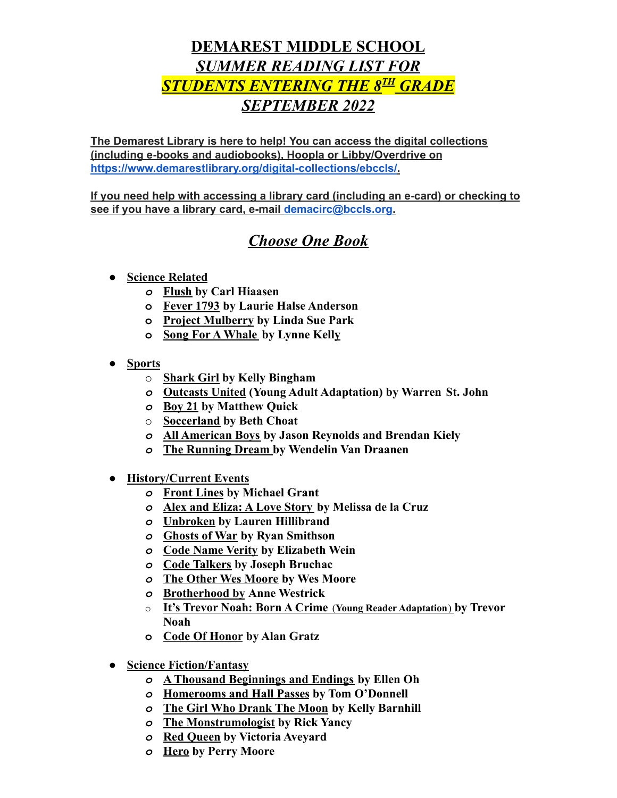## **DEMAREST MIDDLE SCHOOL** *SUMMER READING LIST FOR*  $\frac{STUDENTS}{ENTERING}{\hspace{1em}}THE{\hspace{1em}}\frac{8^{TH}}{4}{\hspace{1em}}GRADE$ *SEPTEMBER 2022*

**The Demarest Library is here to help! You can access the digital collections (including e-books and audiobooks), Hoopla or Libby/Overdrive on <https://www.demarestlibrary.org/digital-collections/ebccls/>.**

**If you need help with accessing a library card (including an e-card) or checking to see if you have a library card, e-mail demacirc@bccls.org.**

## *Choose One Book*

- *●* **Science Related**
	- *o* **Flush by Carl Hiaasen**
	- **o Fever 1793 by Laurie Halse Anderson**
	- **o Project Mulberry by Linda Sue Park**
	- **o Song For A Whale by Lynne Kelly**
- *●* **Sports**
	- o **Shark Girl by Kelly Bingham**
	- *o* **Outcasts United (Young Adult Adaptation) by Warren St. John**
	- *o* **Boy 21 by Matthew Quick**
	- o **Soccerland by Beth Choat**
	- *o* **All American Boys by Jason Reynolds and Brendan Kiely**
	- *o* **The Running Dream by [Wendelin Van Draanen](https://www.goodreads.com/author/show/12950.Wendelin_Van_Draanen)**
- *●* **History/Current Events**
	- *o* **Front Lines by Michael Grant**
	- *o* **Alex and Eliza: A Love Story by Melissa de la Cruz**
	- *o* **Unbroken by Lauren Hillibrand**
	- *o* **Ghosts of War by Ryan Smithson**
	- *o* **Code Name Verity by Elizabeth Wein**
	- *o* **Code Talkers by Joseph Bruchac**
	- *o* **The Other Wes Moore by Wes Moore**
	- *o* **Brotherhood by Anne Westrick**
	- o **It's Trevor Noah: Born A Crime** (**Young Reader Adaptation**) **by Trevor Noah**
	- **o Code Of Honor by Alan Gratz**
- *●* **Science Fiction/Fantasy**
	- *o* **A Thousand Beginnings and Endings by Ellen Oh**
	- *o* **Homerooms and Hall Passes by Tom O'Donnell**
	- *o* **The Girl Who Drank The Moon by Kelly Barnhill**
	- *o* **The Monstrumologist by Rick Yancy**
	- *o* **Red Queen by Victoria Aveyard**
	- *o* **Hero by Perry Moore**